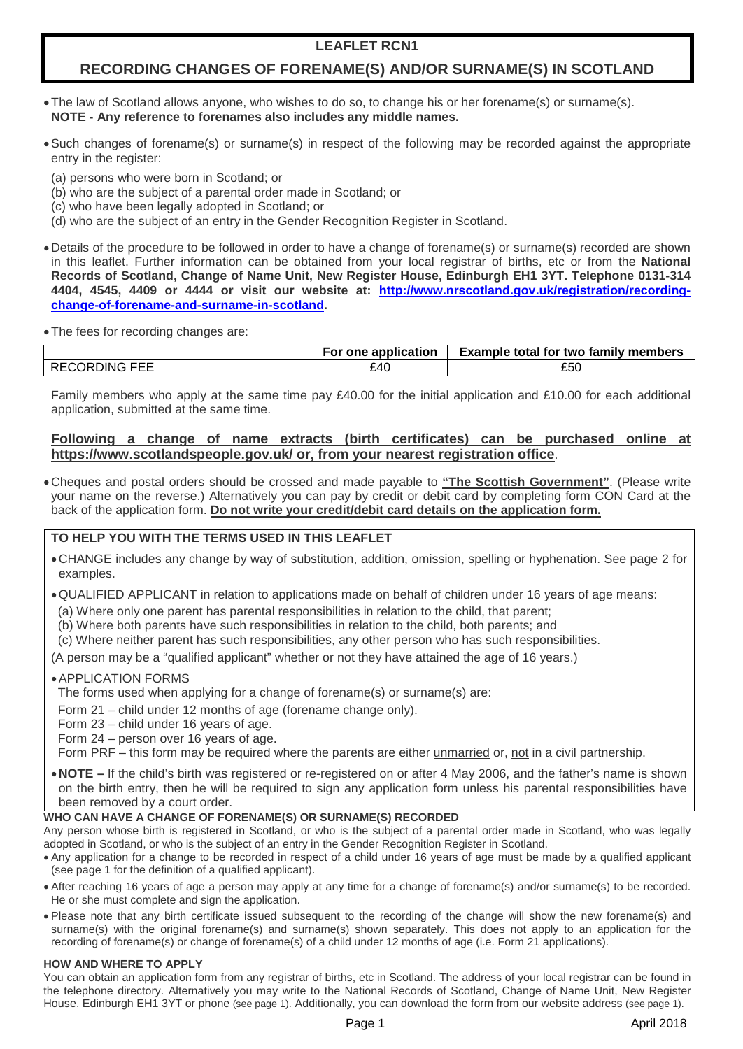# **LEAFLET RCN1**

# **RECORDING CHANGES OF FORENAME(S) AND/OR SURNAME(S) IN SCOTLAND**

- •The law of Scotland allows anyone, who wishes to do so, to change his or her forename(s) or surname(s). **NOTE - Any reference to forenames also includes any middle names.**
- •Such changes of forename(s) or surname(s) in respect of the following may be recorded against the appropriate entry in the register:
	- (a) persons who were born in Scotland; or
	- (b) who are the subject of a parental order made in Scotland; or
- (c) who have been legally adopted in Scotland; or
- (d) who are the subject of an entry in the Gender Recognition Register in Scotland.
- •Details of the procedure to be followed in order to have a change of forename(s) or surname(s) recorded are shown in this leaflet. Further information can be obtained from your local registrar of births, etc or from the **National Records of Scotland, Change of Name Unit, New Register House, Edinburgh EH1 3YT. Telephone 0131-314 4404, 4545, 4409 or 4444 or visit our website at: [http://www.nrscotland.gov.uk/registration/recording](http://www.nrscotland.gov.uk/registration/recording-change-of-forename-and-surname-in-scotland)[change-of-forename-and-surname-in-scotland.](http://www.nrscotland.gov.uk/registration/recording-change-of-forename-and-surname-in-scotland)**
- •The fees for recording changes are:

|                      | For one application | <b>Example total for two family members</b> |
|----------------------|---------------------|---------------------------------------------|
| <b>RECORDING FEE</b> | £40                 | ᅂ<br>LOU                                    |

Family members who apply at the same time pay £40.00 for the initial application and £10.00 for each additional application, submitted at the same time.

# **Following a change of name extracts (birth certificates) can be purchased online at https://www.scotlandspeople.gov.uk/ or, from your nearest registration office**.

•Cheques and postal orders should be crossed and made payable to **"The Scottish Government"**. (Please write your name on the reverse.) Alternatively you can pay by credit or debit card by completing form CON Card at the back of the application form. **Do not write your credit/debit card details on the application form.**

# **TO HELP YOU WITH THE TERMS USED IN THIS LEAFLET**

- •CHANGE includes any change by way of substitution, addition, omission, spelling or hyphenation. See page 2 for examples.
- •QUALIFIED APPLICANT in relation to applications made on behalf of children under 16 years of age means:
- (a) Where only one parent has parental responsibilities in relation to the child, that parent;
- (b) Where both parents have such responsibilities in relation to the child, both parents; and
- (c) Where neither parent has such responsibilities, any other person who has such responsibilities.

(A person may be a "qualified applicant" whether or not they have attained the age of 16 years.)

# •APPLICATION FORMS

The forms used when applying for a change of forename(s) or surname(s) are:

Form 21 – child under 12 months of age (forename change only).

Form 23 – child under 16 years of age.

Form 24 – person over 16 years of age.

Form PRF – this form may be required where the parents are either unmarried or, not in a civil partnership.

•**NOTE –** If the child's birth was registered or re-registered on or after 4 May 2006, and the father's name is shown on the birth entry, then he will be required to sign any application form unless his parental responsibilities have been removed by a court order.

# **WHO CAN HAVE A CHANGE OF FORENAME(S) OR SURNAME(S) RECORDED**

Any person whose birth is registered in Scotland, or who is the subject of a parental order made in Scotland, who was legally adopted in Scotland, or who is the subject of an entry in the Gender Recognition Register in Scotland.

- Any application for a change to be recorded in respect of a child under 16 years of age must be made by a qualified applicant (see page 1 for the definition of a qualified applicant).
- After reaching 16 years of age a person may apply at any time for a change of forename(s) and/or surname(s) to be recorded. He or she must complete and sign the application.
- Please note that any birth certificate issued subsequent to the recording of the change will show the new forename(s) and surname(s) with the original forename(s) and surname(s) shown separately. This does not apply to an application for the recording of forename(s) or change of forename(s) of a child under 12 months of age (i.e. Form 21 applications).

## **HOW AND WHERE TO APPLY**

You can obtain an application form from any registrar of births, etc in Scotland. The address of your local registrar can be found in the telephone directory. Alternatively you may write to the National Records of Scotland, Change of Name Unit, New Register House, Edinburgh EH1 3YT or phone (see page 1). Additionally, you can download the form from our website address (see page 1).